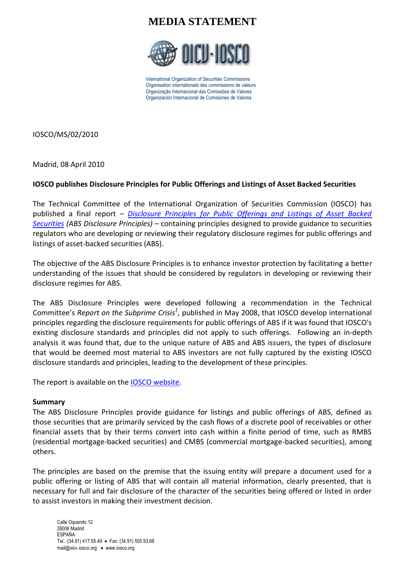### **MEDIA STATEMENT**



International Organization of Securities Commissions Organisation internationale des commissions de valeurs Organização Internacional das Comissões de Valores Organización Internacional de Comisiones de Valores

IOSCO/MS/02/2010

Madrid, 08 April 2010

### **IOSCO publishes Disclosure Principles for Public Offerings and Listings of Asset Backed Securities**

The Technical Committee of the International Organization of Securities Commission (IOSCO) has published a final report – *[Disclosure Principles for Public Offerings and Listings of Asset Backed](http://www.iosco.org/library/pubdocs/pdf/IOSCOPD318.pdf)  [Securities](http://www.iosco.org/library/pubdocs/pdf/IOSCOPD318.pdf) (ABS Disclosure Principles)* – containing principles designed to provide guidance to securities regulators who are developing or reviewing their regulatory disclosure regimes for public offerings and listings of asset-backed securities (ABS).

The objective of the ABS Disclosure Principles is to enhance investor protection by facilitating a better understanding of the issues that should be considered by regulators in developing or reviewing their disclosure regimes for ABS.

The ABS Disclosure Principles were developed following a recommendation in the Technical Committee's *Report on the Subprime Crisis<sup>1</sup>*, published in May 2008, that IOSCO develop international principles regarding the disclosure requirements for public offerings of ABS if it was found that IOSCO's existing disclosure standards and principles did not apply to such offerings. Following an in-depth analysis it was found that, due to the unique nature of ABS and ABS issuers, the types of disclosure that would be deemed most material to ABS investors are not fully captured by the existing IOSCO disclosure standards and principles, leading to the development of these principles.

The report is available on the [IOSCO website.](http://www.iosco.org/)

#### **Summary**

The ABS Disclosure Principles provide guidance for listings and public offerings of ABS, defined as those securities that are primarily serviced by the cash flows of a discrete pool of receivables or other financial assets that by their terms convert into cash within a finite period of time, such as RMBS (residential mortgage-backed securities) and CMBS (commercial mortgage-backed securities), among others.

The principles are based on the premise that the issuing entity will prepare a document used for a public offering or listing of ABS that will contain all material information, clearly presented, that is necessary for full and fair disclosure of the character of the securities being offered or listed in order to assist investors in making their investment decision.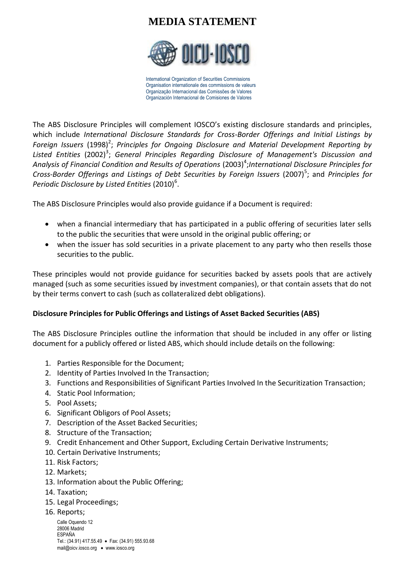# **MEDIA STATEMENT**



International Organization of Securities Commissions Organisation internationale des commissions de valeurs Organização Internacional das Comissões de Valores Organización Internacional de Comisiones de Valores

The ABS Disclosure Principles will complement IOSCO's existing disclosure standards and principles, which include *International Disclosure Standards for Cross-Border Offerings and Initial Listings by*  Foreign Issuers (1998)<sup>2</sup>; Principles for Ongoing Disclosure and Material Development Reporting by Listed Entities (2002)<sup>3</sup>; General Principles Regarding Disclosure of Management's Discussion and Analysis of Financial Condition and Results of Operations (2003)<sup>4</sup>;International Disclosure Principles for Cross-Border Offerings and Listings of Debt Securities by Foreign Issuers (2007)<sup>5</sup>; and Principles for Periodic Disclosure by Listed Entities (2010)<sup>6</sup>.

The ABS Disclosure Principles would also provide guidance if a Document is required:

- when a financial intermediary that has participated in a public offering of securities later sells to the public the securities that were unsold in the original public offering; or
- when the issuer has sold securities in a private placement to any party who then resells those securities to the public.

These principles would not provide guidance for securities backed by assets pools that are actively managed (such as some securities issued by investment companies), or that contain assets that do not by their terms convert to cash (such as collateralized debt obligations).

### **Disclosure Principles for Public Offerings and Listings of Asset Backed Securities (ABS)**

The ABS Disclosure Principles outline the information that should be included in any offer or listing document for a publicly offered or listed ABS, which should include details on the following:

- 1. Parties Responsible for the Document;
- 2. Identity of Parties Involved In the Transaction;
- 3. Functions and Responsibilities of Significant Parties Involved In the Securitization Transaction;
- 4. Static Pool Information;
- 5. Pool Assets;
- 6. Significant Obligors of Pool Assets;
- 7. Description of the Asset Backed Securities;
- 8. Structure of the Transaction;
- 9. Credit Enhancement and Other Support, Excluding Certain Derivative Instruments;
- 10. Certain Derivative Instruments;
- 11. Risk Factors;
- 12. Markets;
- 13. Information about the Public Offering;
- 14. Taxation;
- 15. Legal Proceedings;
- 16. Reports;

Calle Oquendo 12 28006 Madrid ESPAÑA Tel.: (34.91) 417.55.49 • Fax: (34.91) 555.93.68 mail@oicv.iosco.org • www.iosco.org